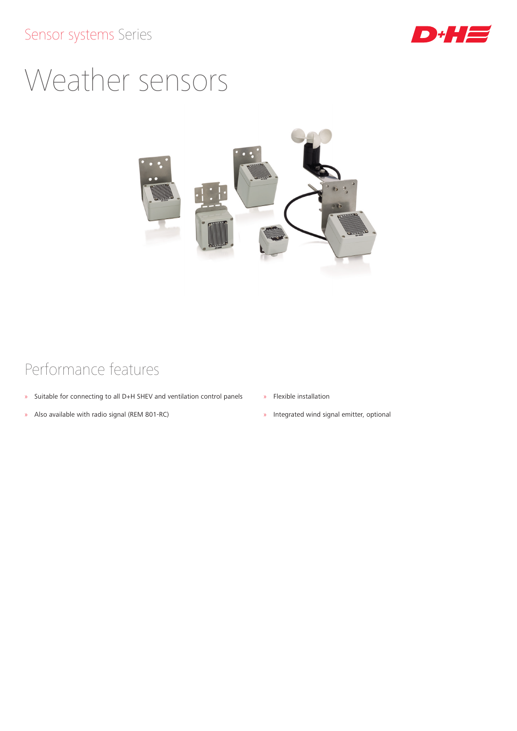## Sensor systems Series



## Weather sensors



## Performance features

- » Suitable for connecting to all D+H SHEV and ventilation control panels
- » Also available with radio signal (REM 801-RC)
- » Flexible installation
- » Integrated wind signal emitter, optional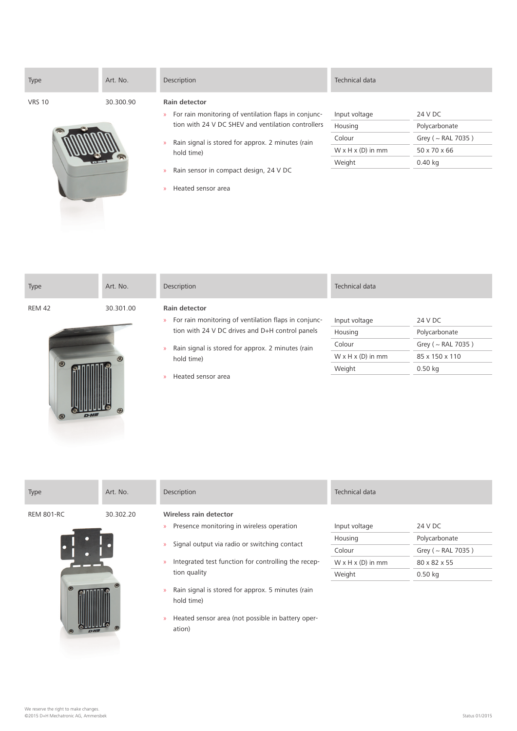| Type          | Art. No.  | Description                                                                                                                                 | Technical data                |                         |
|---------------|-----------|---------------------------------------------------------------------------------------------------------------------------------------------|-------------------------------|-------------------------|
| <b>VRS 10</b> | 30.300.90 | Rain detector                                                                                                                               |                               |                         |
|               |           | For rain monitoring of ventilation flaps in conjunc-<br>$\mathcal{V}$                                                                       | Input voltage                 | 24 V DC                 |
|               |           | tion with 24 V DC SHEV and ventilation controllers                                                                                          | Housing                       | Polycarbonate           |
|               |           | Rain signal is stored for approx. 2 minutes (rain<br>$\mathcal{V}$<br>hold time)<br>Rain sensor in compact design, 24 V DC<br>$\mathcal{D}$ | Colour                        | Grey ( $\sim$ RAL 7035) |
|               |           |                                                                                                                                             | $W \times H \times (D)$ in mm | 50 x 70 x 66            |
|               |           |                                                                                                                                             | Weight                        | $0.40$ kg               |
|               |           |                                                                                                                                             |                               |                         |
|               |           | Heated sensor area<br>$\mathcal{P}$                                                                                                         |                               |                         |

| Type                                 | Art. No.  | Description                                                                                                                                                                                                                                                                 | Technical data                                                                |                                                                                    |
|--------------------------------------|-----------|-----------------------------------------------------------------------------------------------------------------------------------------------------------------------------------------------------------------------------------------------------------------------------|-------------------------------------------------------------------------------|------------------------------------------------------------------------------------|
| <b>REM 42</b><br>$\circledcirc$<br>හ | 30.301.00 | <b>Rain detector</b><br>For rain monitoring of ventilation flaps in conjunc-<br>$\mathcal{D}$<br>tion with 24 V DC drives and D+H control panels<br>Rain signal is stored for approx. 2 minutes (rain<br>$\mathcal{D}$<br>hold time)<br>Heated sensor area<br>$\mathcal{P}$ | Input voltage<br>Housing<br>Colour<br>$W \times H \times (D)$ in mm<br>Weight | 24 V DC<br>Polycarbonate<br>Grey ( $\sim$ RAL 7035)<br>85 x 150 x 110<br>$0.50$ kg |

| Type                                | Art. No.  | Description                                                                                                                                                                                                                                                                                                                       | Technical data                                                                |                                                                                  |
|-------------------------------------|-----------|-----------------------------------------------------------------------------------------------------------------------------------------------------------------------------------------------------------------------------------------------------------------------------------------------------------------------------------|-------------------------------------------------------------------------------|----------------------------------------------------------------------------------|
| <b>REM 801-RC</b><br>$\circledcirc$ | 30.302.20 | Wireless rain detector<br>Presence monitoring in wireless operation<br>$\mathcal{D}$<br>Signal output via radio or switching contact<br>$\mathcal{D}$<br>Integrated test function for controlling the recep-<br>$\mathcal{V}$<br>tion quality<br>Rain signal is stored for approx. 5 minutes (rain<br>$\mathcal{V}$<br>hold time) | Input voltage<br>Housing<br>Colour<br>$W \times H \times (D)$ in mm<br>Weight | 24 V DC<br>Polycarbonate<br>Grey ( $\sim$ RAL 7035)<br>80 x 82 x 55<br>$0.50$ kg |
|                                     |           | Heated sensor area (not possible in battery oper-<br>$\gg$<br>ation)                                                                                                                                                                                                                                                              |                                                                               |                                                                                  |